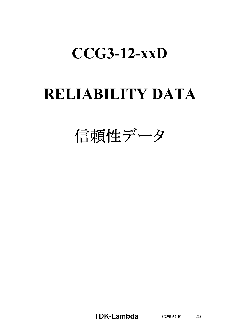# **CCG3-12-xxD**

# **RELIABILITY DATA**

信頼性データ

**TDK-Lambda C295-57-01** 1/25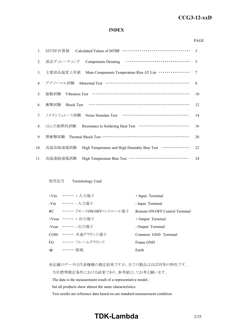#### *RWS 50B-600B Series* **CCG3-12-xxD**

#### **INDEX**

#### PAGE

| 1.  | MTBF計算値                                                                        | 3      |
|-----|--------------------------------------------------------------------------------|--------|
| 2.  | 部品ディレーティング                                                                     | 5      |
| 3.  | Main Components Temperature Rise AT List ················<br>主要部品温度上昇值         | $\tau$ |
| 4.  | アブノーマル試験 Abnormal Test ………………………………………………                                      | 8      |
| 5.  | 振動試験                                                                           | 10     |
| 6.  | 衝撃試験<br><b>Shock Test</b>                                                      | 12     |
| 7.  | ノイズシミュレート試験                                                                    | 14     |
| 8.  | はんだ耐熱性試験 Resistance to Soldering Heat Test ·······························     | 16     |
| 9.  | 熱衝擊試験 Thermal Shock Test …………………………………………………                                   | 20     |
| 10. | High Temperature and High Humidity Bias Test <b>··············</b><br>高温加湿通電試験 | 22     |
| 11. | 高温連続通電試験                                                                       | 24     |

#### 使用記号 Terminology Used

|       | +Vin …… + 入力端子                 | $+$ Input Terminal             |
|-------|--------------------------------|--------------------------------|
|       | -Vin ……… 入力端子                  | - Input Terminal               |
|       | RC •・・・・・・・ リモートON/OFFコントロール端子 | Remote ON/OFF Control Terminal |
|       | +Vout $\cdots \cdots$ + 出力端子   | $+$ Output Terminal            |
|       | -Vout ……. 出力端子                 | - Output Terminal              |
|       | COM …… 共通グラウンド端子               | Common GND Terminal            |
|       | FG …… フレームグラウンド                | Frame GND                      |
| $\pm$ | ・・・・・・ 接地                      | Earth                          |

※記載のデータは代表機種の測定結果ですが、全ての製品はほぼ同等の特性です。

当社標準測定条件における結果であり、参考値としてお考え願います。

The data is the measurement result of a representative model,

but all products show almost the same characteristics.

Test results are reference data based on our standard measurement condition.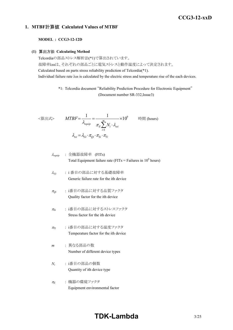## *RWS 50B-600B Series* **CCG3-12-xxD**

### **1. MTBF**計算値 **Calculated Values of MTBF**

#### **MODEL : CCG3-12-12D**

#### **(1)** 算出方法 **Calculating Method**

Telcordiaの部品ストレス解析法(\*1)で算出されています。 故障率λssは、それぞれの部品ごとに電気ストレスと動作温度によって決定されます。 Calculated based on parts stress reliability prediction of Telcordia(\*1). Individual failure rate λss is calculated by the electric stress and temperature rise of the each devices.

> \*1: Telcordia document "Reliability Prediction Procedure for Electronic Equipment" (Document number SR-332,Issue3)

$$
\langle \hat{\mathbf{g}} \mathbf{\pm} \mathbf{x} \rangle \qquad MTBF = \frac{1}{\lambda_{equip}} = \frac{1}{\pi_E \sum_{i=1}^{m} N_i \cdot \lambda_{ssi}} \times 10^9 \qquad \text{iff } (\text{hours})
$$
\n
$$
\lambda_{ssi} = \lambda_{Gi} \cdot \pi_{Qi} \cdot \pi_{Si} \cdot \pi_{Ti}
$$

<sup>l</sup>*equip* : 全機器故障率 (FITs) Total Equipment failure rate (FITs = Failures in 10<sup>9</sup> hours)

$$
λ_{Gi}
$$
 : i 番目の部品に対する基礎**被**`]e  
\nGeneric failure rate for the ith device`

- <sup>p</sup>*Qi* : i番目の部品に対する品質ファクタ Quality factor for the ith device
- <sup>p</sup>*Si* : i番目の部品に対するストレスファクタ Stress factor for the ith device
- <sup>p</sup>*Ti* : i番目の部品に対する温度ファクタ Temperature factor for the ith device
- *m* : 異なる部品の数 Number of different device types
- *Ni* : i番目の部品の個数 Quantity of ith device type
- <sup>p</sup>*<sup>E</sup>* : 機器の環境ファクタ Equipment environmental factor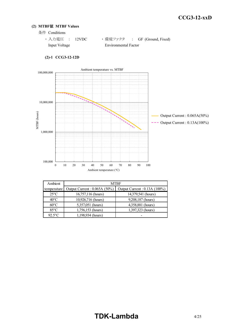#### **(2) MTBF**値 **MTBF Values**

条件 Conditions

| ・入力電圧 : 12VDC |  |                      | ・ 環境ファクタ   :  GF (Ground, Fixed) |
|---------------|--|----------------------|----------------------------------|
| Input Voltage |  | Environmental Factor |                                  |



#### **(2)-1 CCG3-12-12D**

| Ambient        | <b>MTBF</b>                    |                               |  |  |  |  |
|----------------|--------------------------------|-------------------------------|--|--|--|--|
| temperature    | Output Current : $0.065A(50%)$ | Output Current : 0.13A (100%) |  |  |  |  |
| $25^{\circ}$ C | 16,757,116 (hours)             | 14,379,541 (hours)            |  |  |  |  |
| $40^{\circ}$ C | 10,926,716 (hours)             | 9,208,187 (hours)             |  |  |  |  |
| $60^{\circ}$ C | 5,357,051 (hours)              | 4,358,881 (hours)             |  |  |  |  |
| $85^{\circ}$ C | 1,756,153 (hours)              | 1,397,323 (hours)             |  |  |  |  |
| $92.5$ °C      | 1,198,934 (hours)              |                               |  |  |  |  |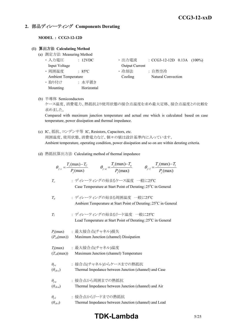## **2.** 部品ディレーティング **Components Derating**

#### **MODEL : CCG3-12-12D**

#### **(1)** 算出方法 **Calculating Method**

- (a) 測定方法 Measuring Method
	-
	-
	-
	- ・ 取り付け : 水平置き Mounting Horizontal
	- 入力電圧 : 12VDC • 出力電流 : CCG3-12-12D 0.13A (100%) Input Voltage **Output Current**
	- 周囲温度 : 85°C · 哈却法 : 自然空冷 Ambient Temperature Cooling Natural Convection
- (b) 半導体 Semiconductors

ケース温度、消費電力、熱抵抗より使用状態の接合点温度を求め最大定格、接合点温度との比較を 求めました。

Compared with maximum junction temperature and actual one which is calculated based on case temperature, power dissipation and thermal impedance.

- (c) IC、抵抗、コンデンサ等 IC, Resistors, Capacitors, etc. 周囲温度、使用状態、消費電力など、個々の値は設計基準内に入っています。 Ambient temperature, operating condition, power dissipation and so on are within derating criteria.
- (d) 熱抵抗算出方法 Calculating method of thermal impedance

|                                     | $\theta_{j-c} = \frac{T_j(\text{max}) - T_c}{P_j(\text{max})}$ $\theta_{j-a} = \frac{T_j(\text{max}) - T_a}{P_j(\text{max})}$<br>$\theta_{j-l} = \frac{T_j(\text{max}) - T_l}{P_j(\text{max})}$ |  |
|-------------------------------------|-------------------------------------------------------------------------------------------------------------------------------------------------------------------------------------------------|--|
| $T_c$                               | : ディレーティングの始まるケース温度 一般に25°C<br>Case Temperature at Start Point of Derating; 25°C in General                                                                                                     |  |
| $T_a$                               | : ディレーティングの始まる周囲温度 一般に25℃<br>Ambient Temperature at Start Point of Derating; 25°C in General                                                                                                    |  |
| $T_I$                               | : ディレーティングの始まるリード温度 一般に25℃<br>Lead Temperature at Start Point of Derating; 25°C in General                                                                                                      |  |
| $(P_{ch}(\text{max}))$              | $P_i$ (max) : 最大接合点(チャネル)損失<br>Maximum Junction (channel) Dissipation                                                                                                                           |  |
| $(T_{ch}(\text{max}))$              | $T_j$ (max) : 最大接合点(チャネル)温度<br>Maximum Junction (channel) Temperature                                                                                                                           |  |
| $\theta_{j-c}$<br>$(\theta_{ch-c})$ | : 接合点(チャネル)からケースまでの熱抵抗<br>Thermal Impedance between Junction (channel) and Case                                                                                                                 |  |
| $\theta_{i-a}$<br>$(\theta_{ch-a})$ | : 接合点から周囲までの熱抵抗<br>Thermal Impedance between Junction (channel) and Air                                                                                                                         |  |
| $\theta_{i-l}$<br>$(\theta_{ch-l})$ | : 接合点からリードまでの熱抵抗<br>Thermal Impedance between Junction (channel) and Lead                                                                                                                       |  |

## **TDK-Lambda** 5/25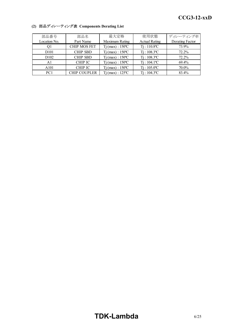| 部品番号             | 部品名                 | 最大定格                         | 使用状態                       | ディレーティング率       |
|------------------|---------------------|------------------------------|----------------------------|-----------------|
| Location No.     | Part Name           | Maximum Rating               | <b>Actual Rating</b>       | Derating Factor |
| Οl               | <b>CHIP MOS FET</b> | $Tj$ (max) : $150^{\circ}$ C | $Ti: 110.8$ <sup>o</sup> C | 73.9%           |
| D <sub>101</sub> | <b>CHIP SBD</b>     | $Ti$ (max) : $150^{\circ}$ C | $Ti: 108.3$ <sup>o</sup> C | 72.2%           |
| D <sub>102</sub> | <b>CHIP SBD</b>     | $Ti$ (max) : $150^{\circ}$ C | $Ti: 108.3$ <sup>o</sup> C | 72.2%           |
| Al               | <b>CHIP IC</b>      | $Tj$ (max) : $150^{\circ}$ C | $Ti: 104.1$ <sup>o</sup> C | 69.4%           |
| A101             | <b>CHIP IC</b>      | $Tj$ (max) : 150 °C          | $Ti: 105.0^{\circ}C$       | 70.0%           |
| PC <sub>1</sub>  | <b>CHIP COUPLER</b> | $Tj$ (max) : 125 °C          | $Ti: 104.3^{\circ}C$       | 83.4%           |

## **(2)** 部品ディレーティング表 **Components Derating List**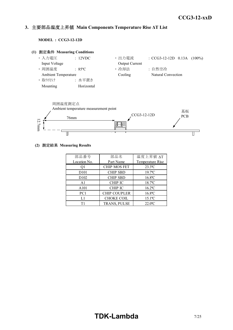#### *INSTRUCTION MANUAL* **3.** 主要部品温度上昇値 **Main Components Temperature Rise ΔT List**

**MODEL : CCG3-12-12D**





#### **(2)** 測定結果 **Measuring Results**

| 部品番号              | 部品名                 | 温度上昇值 ∆T              |
|-------------------|---------------------|-----------------------|
| Location No.      | Part Name           | Temperature Rise      |
| O1                | <b>CHIP MOS FET</b> | $23.3^{\circ}$ C      |
| D <sub>10</sub> 1 | <b>CHIP SBD</b>     | $19.7$ <sup>o</sup> C |
| D <sub>102</sub>  | <b>CHIP SBD</b>     | $16.8$ °C             |
| A <sub>1</sub>    | <b>CHIP IC</b>      | 18.7°C                |
| A101              | <b>CHIP IC</b>      | $16.2$ <sup>o</sup> C |
| PC1               | <b>CHIP COUPLER</b> | $16.8$ °C             |
| L1                | <b>CHOKE COIL</b>   | $15.1$ <sup>o</sup> C |
| Τ1                | TRANS, PULSE        | $22.0^{\circ}$ C      |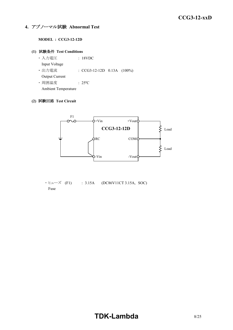## **4.** アブノーマル試験 **Abnormal Test**

#### **MODEL : CCG3-12-12D**

#### **(1)** 試験条件 **Test Conditions**

**・入力電圧 | 18VDC**  Input Voltage ・ 出力電流 : CCG3-12-12D 0.13A (100%) Output Current ・ 周囲温度 : 25ºC

Ambient Temperature

#### **(2)** 試験回路 **Test Circuit**



 $\cdot$  E $\pm$  - $\vec{X}$  (F1) : 3.15A (DC86V11CT 3.15A, SOC) Fuse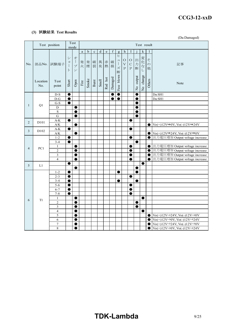#### *RWS 50B-600B Series* **CCG3-12-xxD**

## **(3)** 試験結果 **Test Results**

(Da:Damaged)

|                |                   | Test position                      |                                                          | Test<br>mode                                                           |                       |             |             |             |         |             |                                                                                              |                                                  |                                             |                         | Test result           |                         |                                                                                                                            |  |  |  |  |
|----------------|-------------------|------------------------------------|----------------------------------------------------------|------------------------------------------------------------------------|-----------------------|-------------|-------------|-------------|---------|-------------|----------------------------------------------------------------------------------------------|--------------------------------------------------|---------------------------------------------|-------------------------|-----------------------|-------------------------|----------------------------------------------------------------------------------------------------------------------------|--|--|--|--|
|                |                   |                                    |                                                          |                                                                        | a                     | $\mathbf b$ | $\mathbf c$ | $\mathbf d$ | $\rm e$ | $\mathbf f$ | $\mathbf{g}$                                                                                 | $\mathbf h$                                      | I                                           |                         | ${\bf k}$             | 1                       |                                                                                                                            |  |  |  |  |
| No.            | 部品No.             | 試験端子                               | $\ddot{\checkmark}$<br>$\Xi$<br>$\Big\}$<br>$\mathsf{F}$ | 才<br>$\overline{\phantom{a}}$<br>$\mathcal{I}^{\circ}$<br>$\checkmark$ | 発<br>火                | 発煙          | 破<br>裂      | 異<br>臭      | 赤<br>熱  | 破<br>損      | $\overline{\mathsf{L}}$<br>$\mathfrak{p}$<br>$\begin{array}{c} \hline \end{array}$<br>ズ<br>断 | $\circ$<br>$\boldsymbol{\nabla}$<br>$\mathbf{P}$ | $\rm{O}$<br>$\mathcal{C}$<br>$\overline{P}$ | 出<br>力<br>断             | 変化な<br>$\overline{L}$ | そ<br>$\mathcal{O}$<br>他 | 記事                                                                                                                         |  |  |  |  |
|                | Location<br>No.   | Test<br>point                      | Short                                                    | Open                                                                   | $\operatorname{Fire}$ | Smoke       | Burst       | Smell       | Red hot | Damaged     | Fuse blown                                                                                   |                                                  |                                             | output<br>$\frac{1}{2}$ | No change             | Others                  | Note                                                                                                                       |  |  |  |  |
|                |                   | $D-S$                              | ●                                                        |                                                                        |                       |             |             |             |         |             | $\bullet$                                                                                    |                                                  |                                             | C                       |                       |                         | Da:SH1                                                                                                                     |  |  |  |  |
|                |                   | $D-G$                              | $\bullet$                                                |                                                                        |                       |             |             |             |         |             | $\bullet$                                                                                    |                                                  |                                             | $\bullet$               |                       |                         | Da:SH1                                                                                                                     |  |  |  |  |
| $\mathbf{1}$   | Q1                | $G-S$                              | $\bullet$                                                |                                                                        |                       |             |             |             |         |             |                                                                                              |                                                  |                                             | C                       |                       |                         |                                                                                                                            |  |  |  |  |
|                |                   | D                                  |                                                          |                                                                        |                       |             |             |             |         |             |                                                                                              |                                                  |                                             | C                       |                       |                         |                                                                                                                            |  |  |  |  |
|                |                   | $\rm S$                            |                                                          |                                                                        |                       |             |             |             |         |             |                                                                                              |                                                  |                                             |                         |                       |                         |                                                                                                                            |  |  |  |  |
|                |                   | $\overline{G}$                     |                                                          | $\bullet$                                                              |                       |             |             |             |         |             |                                                                                              |                                                  |                                             | e                       |                       |                         |                                                                                                                            |  |  |  |  |
| $\overline{2}$ | D <sub>10</sub> 1 | $\mathbf{A}\text{-}\mathbf{K}$     |                                                          |                                                                        |                       |             |             |             |         |             |                                                                                              |                                                  | e                                           |                         |                       |                         |                                                                                                                            |  |  |  |  |
|                |                   | $\mathbf{A} / \mathbf{K}$<br>$A-K$ | $\bullet$                                                | ●                                                                      |                       |             |             |             |         |             |                                                                                              |                                                  | $\bullet$                                   |                         |                       | $\bullet$               | $\text{Vo}(+)12\text{V}\rightarrow 0\text{V}, \text{Vo}(-)12\text{V}\rightarrow 24\text{V}$                                |  |  |  |  |
| 3              | D <sub>102</sub>  | $\mathbf{A} / \mathbf{K}$          |                                                          |                                                                        |                       |             |             |             |         |             |                                                                                              |                                                  |                                             |                         |                       | $\bullet$               | $\operatorname{Vo}(+)12\mathrm{V}\rightarrow 24\mathrm{V}, \operatorname{Vo}(\cdot)12\mathrm{V}\rightarrow 0\mathrm{V}$    |  |  |  |  |
|                |                   | $1-2$                              | $\bullet$                                                |                                                                        |                       |             |             |             |         |             |                                                                                              |                                                  | ●                                           |                         |                       | 0                       | 出力電圧増加 Output voltage increase                                                                                             |  |  |  |  |
|                |                   | $3 - 4$                            | $\bullet$                                                |                                                                        |                       |             |             |             |         |             |                                                                                              |                                                  |                                             | $\bullet$               |                       |                         |                                                                                                                            |  |  |  |  |
|                |                   | $\mathbf{1}$                       |                                                          |                                                                        |                       |             |             |             |         |             |                                                                                              |                                                  |                                             |                         |                       | ●                       | 出力電圧増加 Output voltage increase                                                                                             |  |  |  |  |
| $\overline{4}$ | PC1               | $\overline{2}$                     |                                                          | ●                                                                      |                       |             |             |             |         |             |                                                                                              |                                                  |                                             |                         |                       | 0                       | 出力電圧増加 Output voltage increase                                                                                             |  |  |  |  |
|                |                   | $\overline{3}$                     |                                                          | ●                                                                      |                       |             |             |             |         |             |                                                                                              |                                                  |                                             |                         |                       | $\bullet$               | 出力電圧増加 Output voltage increase                                                                                             |  |  |  |  |
|                |                   | $\overline{4}$                     |                                                          | $\bullet$                                                              |                       |             |             |             |         |             |                                                                                              |                                                  | $\bullet$                                   |                         |                       | $\bullet$               | 出力電圧増加 Output voltage increase                                                                                             |  |  |  |  |
| 5              | L1                |                                    | ●                                                        |                                                                        |                       |             |             |             |         |             |                                                                                              |                                                  |                                             |                         | $\bullet$             |                         |                                                                                                                            |  |  |  |  |
|                |                   |                                    |                                                          | $\bullet$                                                              |                       |             |             |             |         |             |                                                                                              |                                                  |                                             | c                       |                       |                         |                                                                                                                            |  |  |  |  |
|                |                   | $1 - 2$                            | $\bullet$                                                |                                                                        |                       |             |             |             |         |             | ●                                                                                            |                                                  |                                             | e                       |                       |                         |                                                                                                                            |  |  |  |  |
|                |                   | $2 - 3$                            | ●                                                        |                                                                        |                       |             |             |             |         |             |                                                                                              |                                                  | e                                           |                         |                       |                         |                                                                                                                            |  |  |  |  |
|                |                   | $3 - 4$                            | 0                                                        |                                                                        |                       |             |             |             |         |             |                                                                                              |                                                  |                                             | C                       |                       |                         |                                                                                                                            |  |  |  |  |
|                |                   | $5 - 6$                            | $\bullet$                                                |                                                                        |                       |             |             |             |         |             |                                                                                              |                                                  | 0<br>e                                      |                         |                       |                         |                                                                                                                            |  |  |  |  |
|                |                   | $6 - 7$<br>$7 - 8$                 | $\bullet$<br>$\bullet$                                   |                                                                        |                       |             |             |             |         |             |                                                                                              |                                                  |                                             |                         |                       |                         |                                                                                                                            |  |  |  |  |
|                |                   | $\mathbf{1}$                       |                                                          |                                                                        |                       |             |             |             |         |             |                                                                                              |                                                  |                                             |                         | $\bullet$             |                         |                                                                                                                            |  |  |  |  |
| 6              | T <sub>1</sub>    | $\overline{2}$                     |                                                          | $\bullet$                                                              |                       |             |             |             |         |             |                                                                                              |                                                  |                                             | 0                       |                       |                         |                                                                                                                            |  |  |  |  |
|                |                   | $\mathfrak{Z}$                     |                                                          | ●                                                                      |                       |             |             |             |         |             |                                                                                              |                                                  |                                             | C                       |                       |                         |                                                                                                                            |  |  |  |  |
|                |                   | $\overline{4}$                     |                                                          | ●                                                                      |                       |             |             |             |         |             |                                                                                              |                                                  |                                             |                         | ●                     |                         |                                                                                                                            |  |  |  |  |
|                |                   | 5                                  |                                                          | ●                                                                      |                       |             |             |             |         |             |                                                                                              |                                                  |                                             |                         |                       | $\bullet$               | $\operatorname{Vo}(+)12\mathrm{V}\rightarrow 24\mathrm{V}, \operatorname{Vo}(\text{-})12\mathrm{V}\rightarrow 0\mathrm{V}$ |  |  |  |  |
|                |                   | 6                                  |                                                          | $\bullet$                                                              |                       |             |             |             |         |             |                                                                                              |                                                  |                                             |                         |                       | $\bullet$               | $\text{Vo}(+)12\text{V}\rightarrow 0\text{V}, \text{Vo}(-)12\text{V}\rightarrow 24\text{V}$                                |  |  |  |  |
|                |                   | $\overline{7}$                     |                                                          |                                                                        |                       |             |             |             |         |             |                                                                                              |                                                  |                                             |                         |                       | C                       | $\overline{v_{0}(+)}$ 12V $\Rightarrow$ 24V, Vo(-)12V $\Rightarrow$ 0V                                                     |  |  |  |  |
|                |                   | $\,8\,$                            |                                                          | ●                                                                      |                       |             |             |             |         |             |                                                                                              |                                                  |                                             |                         |                       | $\bullet$               | $\operatorname{Vo}(+)12\mathrm{V}\rightarrow 0\mathrm{V}, \operatorname{Vo}(\cdot)12\mathrm{V}\rightarrow 24\mathrm{V}$    |  |  |  |  |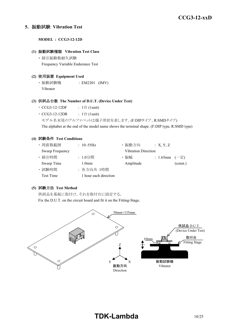#### **5.** 振動試験 **Vibration Test**

**MODEL : CCG3-12-12D**

#### **(1)** 振動試験種類 **Vibration Test Class**

・ 掃引振動数耐久試験 Frequency Variable Endurance Test

#### **(2)** 使用装置 **Equipment Used**

・ 振動試験機 : EM2201 (IMV) Vibrator

#### **(3)** 供試品台数 **The Number of D.U.T. (Device Under Test)**

- CCG3-12-12DF :  $1 \oplus (1$ unit)
- $CCG3-12-12DR$  :  $1 \triangleq (1$ unit)
	- モデル名末尾のアルファベットは端子形状を表します。(F:DIPタイプ、R:SMDタイプ)

The alphabet at the end of the model name shows the terminal shape. (F:DIP type, R:SMD type)

#### **(4)** 試験条件 **Test Conditions**

| ・周波数範囲           | : $10 - 55$ Hz        | ・振動方向                      | : X, Y, Z         |          |
|------------------|-----------------------|----------------------------|-------------------|----------|
| Sweep Frequency  |                       | <b>Vibration Direction</b> |                   |          |
| · 掃引時間           | : 1.0分間               | ・振幅                        | : 1.65mm $(-\pm)$ |          |
| Sweep Time       | 1.0 <sub>min</sub>    | Amplitude                  |                   | (const.) |
| · 試験時間           | : 各方向共 1時間            |                            |                   |          |
| <b>Test Time</b> | 1 hour each direction |                            |                   |          |

#### **(5)** 試験方法 **Test Method**

供試品を基板に取付け、それを取付台に固定する。

Fix the D.U.T. on the circuit board and fit it on the Fitting-Stage.

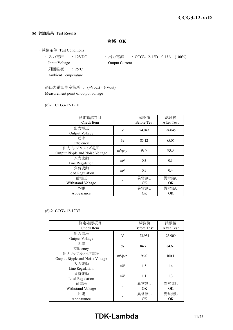#### **(6)** 試験結果 **Test Results**

合格 **OK**

- ・ 試験条件 Test Conditions
	- Input Voltage **Output Current**
	- ・ 周囲温度 : 25ºC Ambient Temperature
	- 入力電圧 : 12VDC · 出力電流 : CCG3-12-12D 0.13A (100%)
	- ※出力電圧測定箇所 : (+Vout) (-Vout) Measurement point of output voltage

#### (6)-1 CCG3-12-12DF

| 測定確認項目<br>Check Item                           |               | 試験前<br><b>Before Test</b> | 試験後<br>After Test |
|------------------------------------------------|---------------|---------------------------|-------------------|
| 出力電圧<br>Output Voltage                         | V             | 24.043                    | 24.045            |
| 効率<br>Efficiency                               | $\frac{0}{0}$ | 85.12                     | 85.06             |
| 出力リップルノイズ電圧<br>Output Ripple and Noise Voltage | mVp-p         | 93.7                      | 93.0              |
| 入力変動<br>Line Regulation                        | mV            | 0.3                       | 0.3               |
| 負荷変動<br>Load Regulation                        | mV            | 0.5                       | 0.4               |
| 耐雷圧<br>Withstand Voltage                       |               | 異常無し<br>OK.               | 異常無し<br><b>OK</b> |
| 外観<br>Appearance                               |               | 異常無し<br>OK                | 異常無し<br>ОK        |

#### (6)-2 CCG3-12-12DR

| 測定確認項目<br>Check Item                           |               | 試験前<br><b>Before Test</b> | 試験後<br>After Test |
|------------------------------------------------|---------------|---------------------------|-------------------|
| 出力電圧<br>Output Voltage                         | V             | 23.934                    | 23.909            |
| 効率<br>Efficiency                               | $\frac{0}{0}$ | 84.71                     | 84.69             |
| 出力リップルノイズ電圧<br>Output Ripple and Noise Voltage | $mVp-p$       | 96.0                      | 100.1             |
| 入力変動<br>Line Regulation                        | mV            | 1.5                       | 1.4               |
| 負荷変動<br>Load Regulation                        | mV            | 1.1                       | 1.3               |
| 耐電圧<br>Withstand Voltage                       |               | 異常無し<br>OK                | 異常無し<br>OK.       |
| 外観<br>Appearance                               |               | 異常無し<br>OK                | 異常無し<br>OK.       |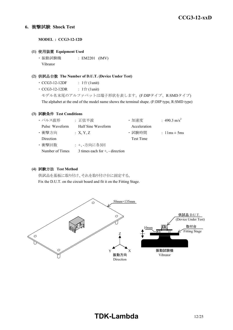#### **6.** 衝撃試験 **Shock Test**

**MODEL : CCG3-12-12D**

#### **(1)** 使用装置 **Equipment Used**

・ 振動試験機 : EM2201 (IMV) Vibrator

#### **(2)** 供試品台数 **The Number of D.U.T. (Device Under Test)**

- CCG3-12-12DF :  $1 \oplus (1$ unit)
- CCG3-12-12DR :  $1 \oplus (1$ unit)

モデル名末尾のアルファベットは端子形状を表します。(F:DIPタイプ、R:SMDタイプ) The alphabet at the end of the model name shows the terminal shape. (F:DIP type, R:SMD type)

#### **(3)** 試験条件 **Test Conditions**

| ・パルス波形           | :正弦半波                                | ·加速度         | : 490.3 m/s <sup>2</sup>         |
|------------------|--------------------------------------|--------------|----------------------------------|
| Pulse Waveform   | Half Sine Waveform                   | Acceleration |                                  |
| ・衝撃方向            | : X, Y, Z                            | ・試験時間        | : $1 \text{lms} \pm 5 \text{ms}$ |
| <b>Direction</b> |                                      | Test Time    |                                  |
| ・衝撃回数            | : +、-方向に各3回                          |              |                                  |
| Number of Times  | 3 times each for $+$ , $-$ direction |              |                                  |

#### **(4)** 試験方法 **Test Method**

供試品を基板に取り付け、それを取り付け台に固定する。 Fix the D.U.T. on the circuit board and fit it on the Fitting Stage.

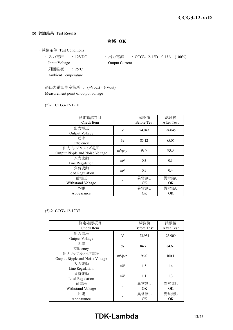#### **(5)** 試験結果 **Test Results**

合格 **OK**

- ・ 試験条件 Test Conditions
	- Input Voltage **Output Current**
	- ・ 周囲温度 : 25ºC Ambient Temperature
	- 入力電圧 : 12VDC · 出力電流 : CCG3-12-12D 0.13A (100%)
	- ※出力電圧測定箇所 : (+Vout) (-Vout) Measurement point of output voltage

#### (5)-1 CCG3-12-12DF

| 測定確認項目                          |               | 試験前                | 試験後        |  |
|---------------------------------|---------------|--------------------|------------|--|
| Check Item                      |               | <b>Before Test</b> | After Test |  |
| 出力電圧                            | V             | 24.043             | 24.045     |  |
| Output Voltage                  |               |                    |            |  |
| 効率                              | $\frac{0}{0}$ | 85.12              | 85.06      |  |
| Efficiency                      |               |                    |            |  |
| 出力リップルノイズ電圧                     | mVp-p         | 93.7               | 93.0       |  |
| Output Ripple and Noise Voltage |               |                    |            |  |
| 入力変動                            | mV            | 0.3                | 0.3        |  |
| Line Regulation                 |               |                    |            |  |
| 負荷変動                            | mV            | 0.5                | 0.4        |  |
| Load Regulation                 |               |                    |            |  |
| 耐電圧                             |               | 異常無し               | 異常無し       |  |
| Withstand Voltage               |               | OK.                | OK.        |  |
| 外観                              |               | 異常無し               | 異常無し       |  |
| Appearance                      |               | OK                 | OK         |  |

#### (5)-2 CCG3-12-12DR

| 測定確認項目<br>Check Item                           |               | 試験前<br><b>Before Test</b> | 試験後<br>After Test |
|------------------------------------------------|---------------|---------------------------|-------------------|
| 出力電圧<br>Output Voltage                         | V             | 23.934                    | 23.909            |
| 効率<br>Efficiency                               | $\frac{0}{0}$ | 84.71                     | 84.69             |
| 出力リップルノイズ電圧<br>Output Ripple and Noise Voltage | $mVp-p$       | 96.0                      | 100.1             |
| 入力変動<br>Line Regulation                        | mV            | 1.5                       | 1.4               |
| 負荷変動<br>Load Regulation                        | mV            | 1.1                       | 1.3               |
| 耐雷圧<br>Withstand Voltage                       |               | 異常無し<br>OK                | 異常無し<br>OK.       |
| 外観<br>Appearance                               |               | 異常無し<br>OK                | 異常無し<br><b>OK</b> |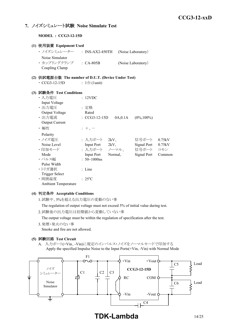### **7.** ノイズシミュレート試験 **Noise Simulate Test**

**MODEL : CCG3-12-15D**

| (1) 使用装置 Equipment Used                             |                              |          |                     |        |
|-----------------------------------------------------|------------------------------|----------|---------------------|--------|
| ・ ノイズシミュレーター ___: INS-AX2-450TH                     |                              |          | (Noise Laboratory)  |        |
| Noise Simulator                                     |                              |          |                     |        |
| · カップリングクランプ : CA-805B                              |                              |          | (Noise Laboratory)  |        |
| Coupling Clamp                                      |                              |          |                     |        |
| (2) 供試電源台数 The number of D.U.T. (Device Under Test) |                              |          |                     |        |
| $\cdot$ CCG3-12-15D                                 | : $1 \oplus (1 \text{unit})$ |          |                     |        |
|                                                     |                              |          |                     |        |
| (3) 試験条件 Test Conditions                            |                              |          |                     |        |
| ・入力電圧                                               | : 12VDC                      |          |                     |        |
| Input Voltage                                       |                              |          |                     |        |
| ・出力電圧                                               | : 定格                         |          |                     |        |
| Output Voltage                                      | Rated                        |          |                     |        |
| · 出力電流                                              | $\cdot$ CCG3-12-15D          | 0A, 0.1A | $(0\%, 100\%)$      |        |
| <b>Output Current</b>                               |                              |          |                     |        |
| ・極性                                                 | $: +$ , $-$                  |          |                     |        |
| Polarity                                            |                              |          |                     |        |
| ・ノイズ電圧                                              | : 入力ポート 2kV、                 |          | 信号ポート               | 0.75kV |
| Noise Level                                         | Input Port 2kV,              |          | Signal Port 0.75kV  |        |
| ・印加モード                                              |                              |          | : 入力ポート ノーマル、 信号ポート | コモン    |
| Mode                                                | Input Port Normal,           |          | Signal Port         | Common |
| ・パルス幅                                               | : $50 \sim 1000$ ns          |          |                     |        |
| Pulse Width                                         |                              |          |                     |        |
| ・トリガ選択                                              | $:$ Line                     |          |                     |        |
| <b>Trigger Select</b>                               |                              |          |                     |        |
| ·周囲温度                                               | $: 25^{\circ}C$              |          |                     |        |
| <b>Ambient Temperature</b>                          |                              |          |                     |        |

#### **(4)** 判定条件 **Acceptable Conditions**

1.試験中、5%を超える出力電圧の変動のない事

The regulation of output voltage must not exceed 5% of initial value during test.

2.試験後の出力電圧は初期値から変動していない事

The output voltage must be within the regulation of specification after the test.

3.発煙・発火のない事

Smoke and fire are not allowed.

#### **(5)** 試験回路 **Test Circuit**

A. 入力ポート(+Vin、-Vin)に規定のインパルス・ノイズをノーマルモードで印加する Apply the specified Impulse Noise to the Input Ports(+Vin, -Vin) with Normal Mode

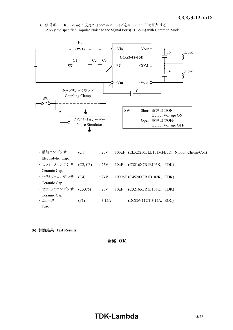*INSTRUCTION MANUAL* B. 信号ポート(RC、-Vin)に規定のインパルス・ノイズをコモンモードで印加する Apply the specified Impulse Noise to the Signal Ports(RC,-Vin) with Common Mode.



- 電解コンデンサ (C1) : 25V 100μF (ELXZ250ELL101MFB5D, Nippon Chemi-Con) Electrolytic Cap. ・ セラミックコンデンサ (C2, C3) : 25V 10μF (C3216X7R1E106K, TDK) Ceramic Cap. ・ セラミックコンデンサ (C4) : 2kV 1000pF (C4520X7R3D102K, TDK) Ceramic Cap. ・ セラミックコンデンサ (C5,C6) : 25V 10μF (C3216X7R1E106K, TDK) Ceramic Cap  $\cdot$  ヒューズ (F1) : 3.15A (DC86V11CT 3.15A, SOC) Fuse
- **(6)** 試験結果 **Test Results**

合格 **OK**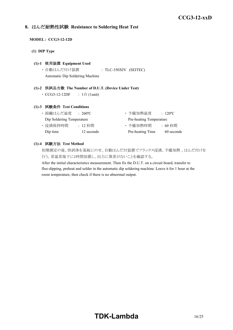### **8.** はんだ耐熱性試験 **Resistance to Soldering Heat Test**

#### **MODEL : CCG3-12-12D**

**(1) DIP Type**

#### **(1)-1** 使用装置 **Equipment Used**

・ 自動はんだ付け装置 : TLC-350XIV (SEITEC) Automatic Dip Soldering Machine

#### **(1)-2** 供試品台数 **The Number of D.U.T. (Device Under Test)**

•  $CCG3-12-12DF$  :  $1$   $\oplus$  (1unit)

#### **(1)-3** 試験条件 **Test Conditions**

| ・溶融はんだ温度                  | $\div$ 260°C. | ・予備加熱温度                 | $\therefore$ 120 <sup>o</sup> C |
|---------------------------|---------------|-------------------------|---------------------------------|
| Dip Soldering Temperature |               | Pre-heating Temperature |                                 |
| ・浸漬保持時間                   | : 12 秒間       | ・予備加熱時間                 | :60 秒間                          |
| Dip time                  | 12 seconds    | Pre-heating Time        | 60 seconds                      |

#### **(1)-4** 試験方法 **Test Method**

初期測定の後、供試体を基板にのせ、自動はんだ付装置でフラックス浸漬、予備加熱 、はんだ付けを 行う。常温常湿下に1時間放置し、出力に異常がないことを確認する。

After the initial characteristics measurement. Then fix the D.U.T. on a circuit board, transfer to flux-dipping, preheat and solder in the automatic dip soldering machine. Leave it for 1 hour at the room temperature, then check if there is no abnormal output.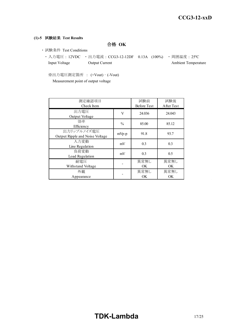#### **(1)-5** 試験結果 **Test Results**

合格 **OK**

- ・ 試験条件 Test Conditions
	- ・ 入力電圧 : 12VDC ・ 出力電流 : CCG3-12-12DF 0.13A (100%) ・ 周囲温度 : 25ºC Input Voltage Output Current Ambient Temperature

※出力電圧測定箇所 : (+Vout) – (-Vout) Measurement point of output voltage

| 測定確認項目<br>Check Item                           |               | 試験前<br><b>Before Test</b> | 試験後<br>After Test |
|------------------------------------------------|---------------|---------------------------|-------------------|
| 出力電圧<br>Output Voltage                         | V             | 24.036                    | 24.043            |
| 効率<br>Efficiency                               | $\frac{0}{0}$ | 85.00                     | 85.12             |
| 出力リップルノイズ電圧<br>Output Ripple and Noise Voltage | $mVp-p$       | 91.8                      | 93.7              |
| 入力変動<br>Line Regulation                        | mV            | 0.3                       | 0.3               |
| 負荷変動<br>Load Regulation                        | mV            | 0.3                       | 0.5               |
| 耐雷圧<br>Withstand Voltage                       |               | 異常無し<br>OK.               | 異常無し<br>OK.       |
| 外観<br>Appearance                               |               | 異常無し<br>OK.               | 異常無し<br>OK.       |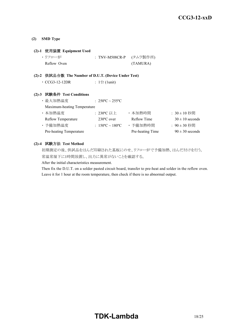#### **(2) SMD Type**

#### **(2)-1** 使用装置 **Equipment Used**

| ・リフロー炉      | : TNV-M508CR-P (タムラ製作所) |
|-------------|-------------------------|
| Reflow Oven | (TAMURA)                |

#### **(2)-2** 供試品台数 **The Number of D.U.T. (Device Under Test)**

| $\cdot$ CCG3-12-12DR |  |  | : $1 \oplus (1 \text{unit})$ |
|----------------------|--|--|------------------------------|
|----------------------|--|--|------------------------------|

#### **(2)-3** 試験条件 **Test Conditions**

| ・最大加熱温度                     | : $250^{\circ}$ C ~ $255^{\circ}$ C |                  |                     |
|-----------------------------|-------------------------------------|------------------|---------------------|
| Maximum-heating Temperature |                                     |                  |                     |
| ・本加熱温度                      | : 230°C 以上                          | ・本加熱時間           | $: 30 \pm 10$ 秒間    |
| <b>Reflow Temperature</b>   | $230^{\circ}$ C over                | Reflow Time      | $30 \pm 10$ seconds |
| ・予備加熱温度                     | : $150^{\circ}$ C ~ $180^{\circ}$ C | · 予備加熱時間         | : 90 ± 30 秒間        |
| Pre-heating Temperature     |                                     | Pre-heating Time | $90 \pm 30$ seconds |

#### **(2)-4** 試験方法 **Test Method**

初期測定の後、供試品をはんだ印刷された基板にのせ、リフロー炉で予備加熱、はんだ付けを行う。 常温常湿下に1時間放置し、出力に異常がないことを確認する。

After the initial characteristics measurement.

Then fix the D.U.T. on a solder pasted circuit board, transfer to pre-heat and solder in the reflow oven. Leave it for 1 hour at the room temperature, then check if there is no abnormal output.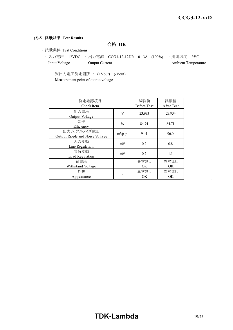#### **(2)-5** 試験結果 **Test Results**

合格 **OK**

- ・ 試験条件 Test Conditions
	- ・ 入力電圧 : 12VDC ・ 出力電流 : CCG3-12-12DR 0.13A (100%) ・ 周囲温度 : 25ºC Input Voltage Output Current Ambient Temperature

※出力電圧測定箇所 : (+Vout) – (-Vout) Measurement point of output voltage

| 測定確認項目<br>Check Item                           |               | 試験前<br><b>Before Test</b> | 試験後<br>After Test |
|------------------------------------------------|---------------|---------------------------|-------------------|
| 出力電圧<br>Output Voltage                         | V             | 23.933                    | 23.934            |
| 効率<br>Efficiency                               | $\frac{0}{0}$ | 84.74                     | 84.71             |
| 出力リップルノイズ電圧<br>Output Ripple and Noise Voltage | $mVp-p$       | 94.4                      | 96.0              |
| 入力変動<br>Line Regulation                        | mV            | 0.2                       | 0.8               |
| 負荷変動<br>Load Regulation                        | mV            | 0.2                       | 1.1               |
| 耐雷圧<br>Withstand Voltage                       |               | 異常無し<br>OK                | 異常無し<br>OK        |
| 外観<br>Appearance                               |               | 異常無し<br>OK                | 異常無し<br><b>OK</b> |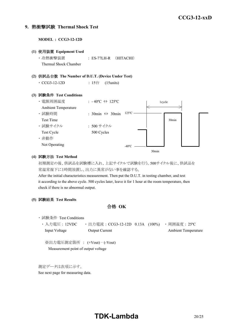#### **9.** 熱衝撃試験 **Thermal Shock Test**

**MODEL : CCG3-12-12D**

**(1)** 使用装置 **Equipment Used** ・ 冷熱衝撃装置 : ES-77LH-R (HITACHI) Thermal Shock Chamber **(2)** 供試品台数 **The Number of D.U.T. (Device Under Test)** • CCG3-12-12D : 15台 (15units) **(3)** 試験条件 **Test Conditions** ・ 電源周囲温度 : - 40ºC ⇔ 125ºC Ambient Temperature ・ 試験時間 : 30min ⇔ 30min Test Time ・ 試験サイクル : 500 サイクル Test Cycle 500 Cycles ・ 非動作 Not Operating 1cycle 30min  $-40^{\circ}$ C  $-$ 125ºC

#### **(4)** 試験方法 **Test Method**

初期測定の後、供試品を試験槽に入れ、上記サイクルで試験を行う。500サイクル後に、供試品を 常温常湿下に1時間放置し、出力に異常がない事を確認する。

30min

After the initial characteristics measurement. Then put the D.U.T. in testing chamber, and test it according to the above cycle. 500 cycles later, leave it for 1 hour at the room temperature, then check if there is no abnormal output.

**(5)** 試験結果 **Test Results**

合格 **OK**

- ・ 試験条件 Test Conditions
	- ・ 入力電圧 : 12VDC ・ 出力電流 : CCG3-12-12D 0.13A (100%) ・ 周囲温度 : 25ºC Input Voltage Output Current Ambient Temperature

※出力電圧測定箇所 : (+Vout) – (-Vout) Measurement point of output voltage

測定データは次項に示す。

See next page for measuring data.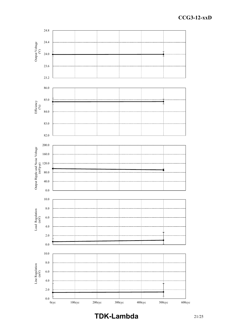

**TDK-Lambda** 21/25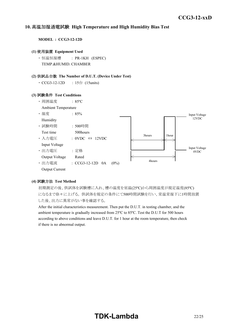#### *INSTRUCTION MANUAL* **10.** 高温加湿通電試験 **High Temperature and High Humidity Bias Test**

**MODEL : CCG3-12-12D**

#### **(1)** 使用装置 **Equipment Used**

・ 恒温恒湿槽 : PR-1KH (ESPEC) TEMP.&HUMID. CHAMBER

#### **(2)** 供試品台数 **The Number of D.U.T. (Device Under Test)**

• CCG3-12-12D : 15台 (15units)

#### **(3)** 試験条件 **Test Conditions**



#### **(4)** 試験方法 **Test Method**

初期測定の後、供試体を試験槽に入れ、槽の温度を室温(25ºC)から周囲温度が規定温度(85ºC) になるまで徐々に上げる。 供試体を規定の条件にて500時間試験を行い、常温常湿下に1時間放置 した後、出力に異常がない事を確認する。

After the initial characteristics measurement. Then put the D.U.T. in testing chamber, and the ambient temperature is gradually increased from 25ºC to 85ºC. Test the D.U.T for 500 hours according to above conditions and leave D.U.T. for 1 hour at the room temperature, then check if there is no abnormal output.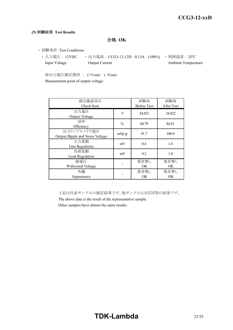#### **(5)** 試験結果 **Test Results**

合格 **OK**

- ・ 試験条件 Test Conditions
	- 入力電圧: 12VDC 出力電流: CCG3-12-12D 0.13A (100%) 周囲温度: 25℃ Input Voltage **Output Current** Current Ambient Temperature

※出力電圧測定箇所 : (+Vout) – ( -Vout) Measurement point of output voltage

| 測定確認項目<br>Check Item                           |               | 試験前<br><b>Before Test</b> | 試験後<br>After Test |
|------------------------------------------------|---------------|---------------------------|-------------------|
| 出力電圧<br>Output Voltage                         | V             | 24.021                    | 24.022            |
| 効率<br>Efficiency                               | $\frac{0}{0}$ | 84.79                     | 84.81             |
| 出力リップルノイズ電圧<br>Output Ripple and Noise Voltage | $mVp-p$       | 91.7                      | 100.0             |
| 入力変動<br>Line Regulation                        | mV            | 0.4                       | 1.4               |
| 負荷変動<br>Load Regulation                        | mV            | 0.2                       | 1.0               |
| 耐雷圧<br>Withstand Voltage                       |               | 異常無し<br><b>OK</b>         | 異常無し<br>OK.       |
| 外観<br>Appearance                               |               | 異常無し<br>OK.               | 異常無し<br>OK        |

上記は代表サンプルの測定結果です。他サンプルもほぼ同等の結果です。

The above data is the result of the representative sample.

Other samples have almost the same results.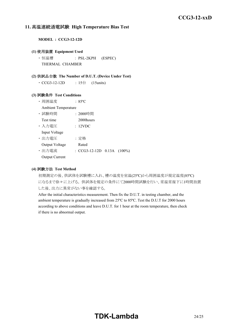#### **11.** 高温連続通電試験 **High Temperature Bias Test**

**MODEL : CCG3-12-12D**

#### **(1)** 使用装置 **Equipment Used**

・ 恒温槽 : PSL-2KPH (ESPEC) THERMAL CHAMBER

#### **(2)** 供試品台数 **The Number of D.U.T. (Device Under Test)**

• CCG3-12-12D : 15台 (15units)

#### **(3)** 試験条件 **Test Conditions**

- ・ 周囲温度 : 85ºC
- Ambient Temperature
- ・ 試験時間 : 2000時間 Test time 2000 hours
- ・ 入力電圧 : 12VDC
- Input Voltage
- ・ 出力電圧 : 定格 Output Voltage Rated
- ・ 出力電流 : CCG3-12-12D 0.13A (100%)
- Output Current

#### **(4)** 試験方法 **Test Method**

初期測定の後、供試体を試験槽に入れ、槽の温度を室温(25ºC)から周囲温度が規定温度(85ºC) になるまで徐々に上げる。 供試体を規定の条件にて2000時間試験を行い、常温常湿下に1時間放置 した後、出力に異常がない事を確認する。

After the initial characteristics measurement. Then fix the D.U.T. in testing chamber, and the ambient temperature is gradually increased from 25ºC to 85ºC. Test the D.U.T for 2000 hours according to above conditions and leave D.U.T. for 1 hour at the room temperature, then check if there is no abnormal output.